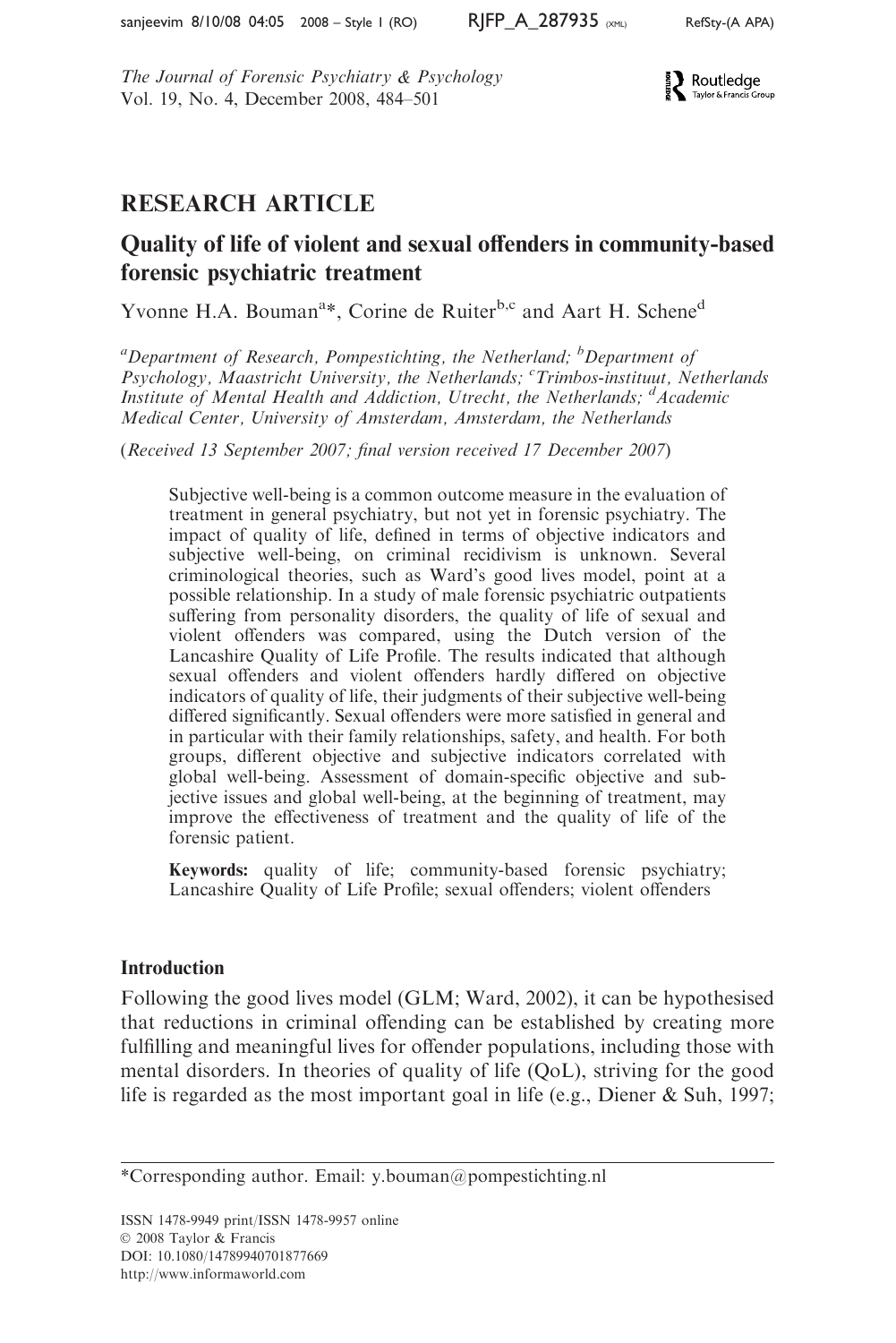The Journal of Forensic Psychiatry & Psychology Vol. 19, No. 4, December 2008, 484–501



# RESEARCH ARTICLE

# Quality of life of violent and sexual offenders in community-based forensic psychiatric treatment

Yvonne H.A. Bouman<sup>a\*</sup>, Corine de Ruiter<sup>b,c</sup> and Aart H. Schene<sup>d</sup>

<sup>a</sup>Department of Research, Pompestichting, the Netherland;  $^b$ Department of Psychology, Maastricht University, the Netherlands; <sup>c</sup>Trimbos-instituut, Netherlands Institute of Mental Health and Addiction, Utrecht, the Netherlands; <sup>d</sup>Academic Medical Center, University of Amsterdam, Amsterdam, the Netherlands

(Received 13 September 2007; final version received 17 December 2007)

Subjective well-being is a common outcome measure in the evaluation of treatment in general psychiatry, but not yet in forensic psychiatry. The impact of quality of life, defined in terms of objective indicators and subjective well-being, on criminal recidivism is unknown. Several criminological theories, such as Ward's good lives model, point at a possible relationship. In a study of male forensic psychiatric outpatients suffering from personality disorders, the quality of life of sexual and violent offenders was compared, using the Dutch version of the Lancashire Quality of Life Profile. The results indicated that although sexual offenders and violent offenders hardly differed on objective indicators of quality of life, their judgments of their subjective well-being differed significantly. Sexual offenders were more satisfied in general and in particular with their family relationships, safety, and health. For both groups, different objective and subjective indicators correlated with global well-being. Assessment of domain-specific objective and subjective issues and global well-being, at the beginning of treatment, may improve the effectiveness of treatment and the quality of life of the forensic patient.

Keywords: quality of life; community-based forensic psychiatry; Lancashire Quality of Life Profile; sexual offenders; violent offenders

### **Introduction**

Following the good lives model (GLM; Ward, 2002), it can be hypothesised that reductions in criminal offending can be established by creating more fulfilling and meaningful lives for offender populations, including those with mental disorders. In theories of quality of life (QoL), striving for the good life is regarded as the most important goal in life (e.g., Diener & Suh, 1997;

\*Corresponding author. Email: y.bouman@pompestichting.nl

ISSN 1478-9949 print/ISSN 1478-9957 online © 2008 Taylor & Francis DOI: 10.1080/14789940701877669 http://www.informaworld.com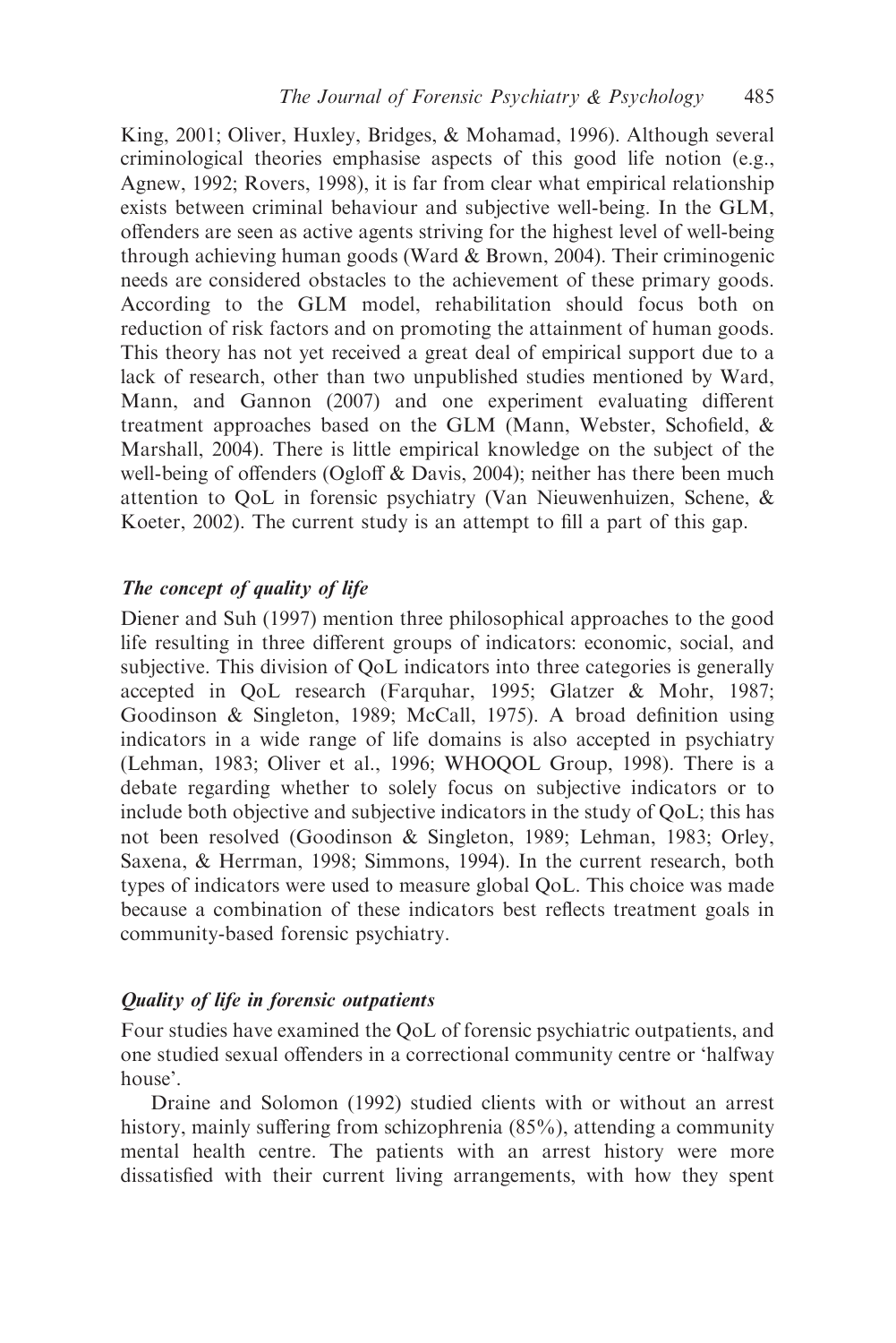King, 2001; Oliver, Huxley, Bridges, & Mohamad, 1996). Although several criminological theories emphasise aspects of this good life notion (e.g., Agnew, 1992; Rovers, 1998), it is far from clear what empirical relationship exists between criminal behaviour and subjective well-being. In the GLM, offenders are seen as active agents striving for the highest level of well-being through achieving human goods (Ward & Brown, 2004). Their criminogenic needs are considered obstacles to the achievement of these primary goods. According to the GLM model, rehabilitation should focus both on reduction of risk factors and on promoting the attainment of human goods. This theory has not yet received a great deal of empirical support due to a lack of research, other than two unpublished studies mentioned by Ward, Mann, and Gannon (2007) and one experiment evaluating different treatment approaches based on the GLM (Mann, Webster, Schofield, & Marshall, 2004). There is little empirical knowledge on the subject of the well-being of offenders (Ogloff & Davis, 2004); neither has there been much attention to QoL in forensic psychiatry (Van Nieuwenhuizen, Schene, & Koeter, 2002). The current study is an attempt to fill a part of this gap.

## The concept of quality of life

Diener and Suh (1997) mention three philosophical approaches to the good life resulting in three different groups of indicators: economic, social, and subjective. This division of QoL indicators into three categories is generally accepted in QoL research (Farquhar, 1995; Glatzer & Mohr, 1987; Goodinson & Singleton, 1989; McCall, 1975). A broad definition using indicators in a wide range of life domains is also accepted in psychiatry (Lehman, 1983; Oliver et al., 1996; WHOQOL Group, 1998). There is a debate regarding whether to solely focus on subjective indicators or to include both objective and subjective indicators in the study of QoL; this has not been resolved (Goodinson & Singleton, 1989; Lehman, 1983; Orley, Saxena, & Herrman, 1998; Simmons, 1994). In the current research, both types of indicators were used to measure global QoL. This choice was made because a combination of these indicators best reflects treatment goals in community-based forensic psychiatry.

### Quality of life in forensic outpatients

Four studies have examined the QoL of forensic psychiatric outpatients, and one studied sexual offenders in a correctional community centre or 'halfway house'.

Draine and Solomon (1992) studied clients with or without an arrest history, mainly suffering from schizophrenia (85%), attending a community mental health centre. The patients with an arrest history were more dissatisfied with their current living arrangements, with how they spent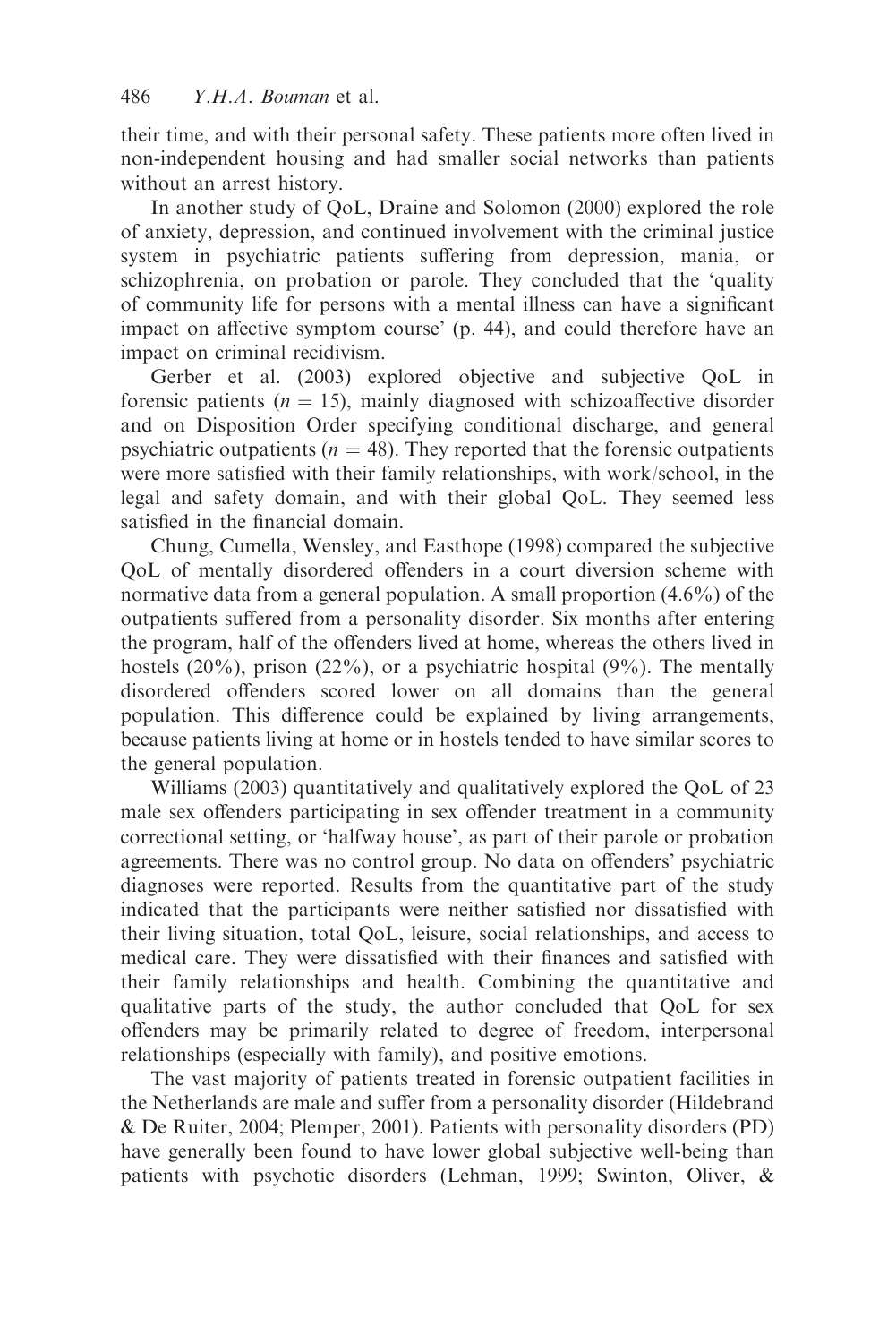their time, and with their personal safety. These patients more often lived in non-independent housing and had smaller social networks than patients without an arrest history.

In another study of QoL, Draine and Solomon (2000) explored the role of anxiety, depression, and continued involvement with the criminal justice system in psychiatric patients suffering from depression, mania, or schizophrenia, on probation or parole. They concluded that the 'quality of community life for persons with a mental illness can have a significant impact on affective symptom course' (p. 44), and could therefore have an impact on criminal recidivism.

Gerber et al. (2003) explored objective and subjective QoL in forensic patients ( $n = 15$ ), mainly diagnosed with schizoaffective disorder and on Disposition Order specifying conditional discharge, and general psychiatric outpatients ( $n = 48$ ). They reported that the forensic outpatients were more satisfied with their family relationships, with work/school, in the legal and safety domain, and with their global QoL. They seemed less satisfied in the financial domain.

Chung, Cumella, Wensley, and Easthope (1998) compared the subjective QoL of mentally disordered offenders in a court diversion scheme with normative data from a general population. A small proportion  $(4.6\%)$  of the outpatients suffered from a personality disorder. Six months after entering the program, half of the offenders lived at home, whereas the others lived in hostels (20%), prison (22%), or a psychiatric hospital (9%). The mentally disordered offenders scored lower on all domains than the general population. This difference could be explained by living arrangements, because patients living at home or in hostels tended to have similar scores to the general population.

Williams (2003) quantitatively and qualitatively explored the QoL of 23 male sex offenders participating in sex offender treatment in a community correctional setting, or 'halfway house', as part of their parole or probation agreements. There was no control group. No data on offenders' psychiatric diagnoses were reported. Results from the quantitative part of the study indicated that the participants were neither satisfied nor dissatisfied with their living situation, total QoL, leisure, social relationships, and access to medical care. They were dissatisfied with their finances and satisfied with their family relationships and health. Combining the quantitative and qualitative parts of the study, the author concluded that QoL for sex offenders may be primarily related to degree of freedom, interpersonal relationships (especially with family), and positive emotions.

The vast majority of patients treated in forensic outpatient facilities in the Netherlands are male and suffer from a personality disorder (Hildebrand & De Ruiter, 2004; Plemper, 2001). Patients with personality disorders (PD) have generally been found to have lower global subjective well-being than patients with psychotic disorders (Lehman, 1999; Swinton, Oliver, &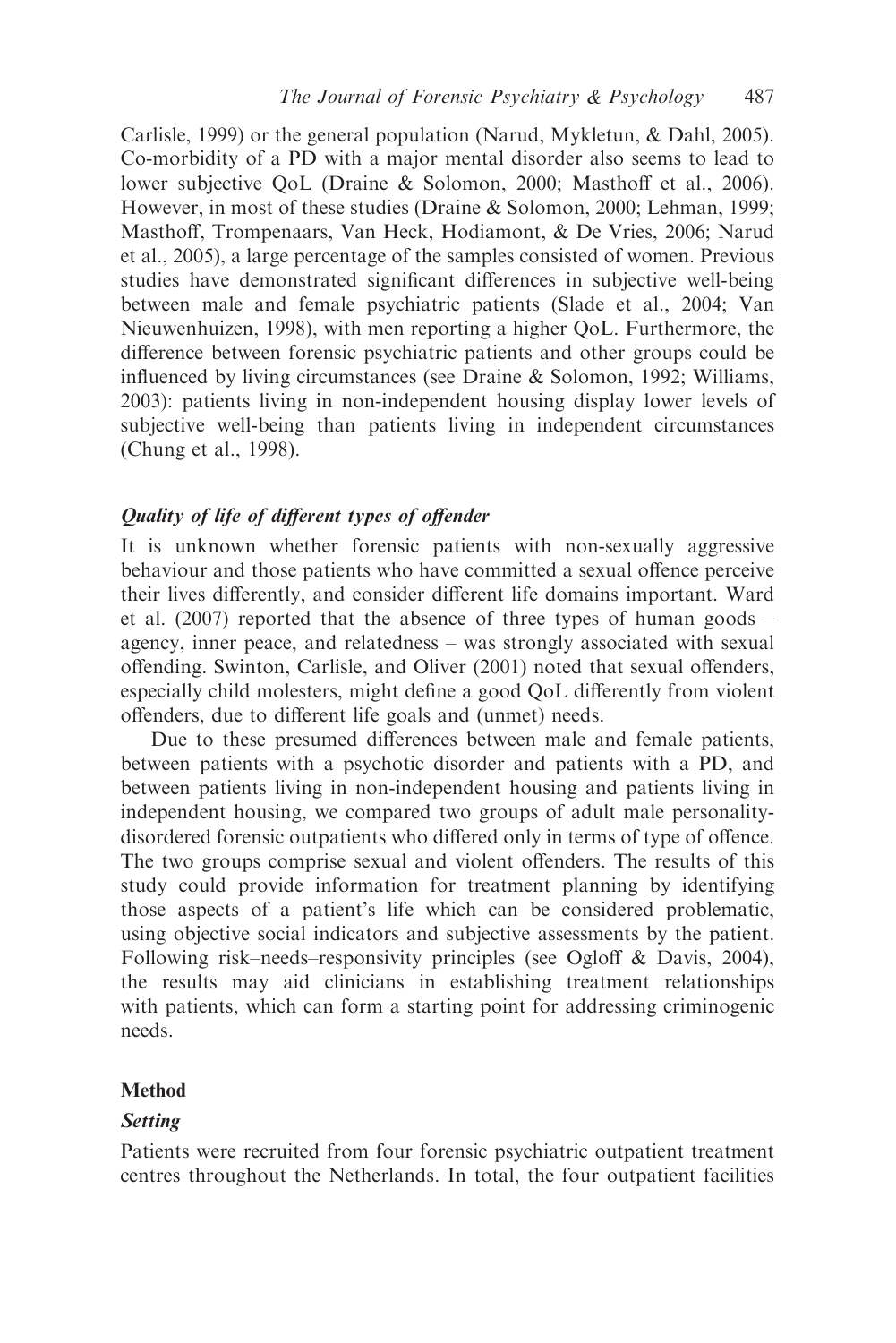Carlisle, 1999) or the general population (Narud, Mykletun, & Dahl, 2005). Co-morbidity of a PD with a major mental disorder also seems to lead to lower subjective QoL (Draine & Solomon, 2000; Masthoff et al., 2006). However, in most of these studies (Draine & Solomon, 2000; Lehman, 1999; Masthoff, Trompenaars, Van Heck, Hodiamont, & De Vries, 2006; Narud et al., 2005), a large percentage of the samples consisted of women. Previous studies have demonstrated significant differences in subjective well-being between male and female psychiatric patients (Slade et al., 2004; Van Nieuwenhuizen, 1998), with men reporting a higher QoL. Furthermore, the difference between forensic psychiatric patients and other groups could be influenced by living circumstances (see Draine & Solomon, 1992; Williams, 2003): patients living in non-independent housing display lower levels of subjective well-being than patients living in independent circumstances (Chung et al., 1998).

## Quality of life of different types of offender

It is unknown whether forensic patients with non-sexually aggressive behaviour and those patients who have committed a sexual offence perceive their lives differently, and consider different life domains important. Ward et al. (2007) reported that the absence of three types of human goods – agency, inner peace, and relatedness – was strongly associated with sexual offending. Swinton, Carlisle, and Oliver (2001) noted that sexual offenders, especially child molesters, might define a good QoL differently from violent offenders, due to different life goals and (unmet) needs.

Due to these presumed differences between male and female patients, between patients with a psychotic disorder and patients with a PD, and between patients living in non-independent housing and patients living in independent housing, we compared two groups of adult male personalitydisordered forensic outpatients who differed only in terms of type of offence. The two groups comprise sexual and violent offenders. The results of this study could provide information for treatment planning by identifying those aspects of a patient's life which can be considered problematic, using objective social indicators and subjective assessments by the patient. Following risk–needs–responsivity principles (see Ogloff & Davis, 2004), the results may aid clinicians in establishing treatment relationships with patients, which can form a starting point for addressing criminogenic needs.

#### Method

### **Setting**

Patients were recruited from four forensic psychiatric outpatient treatment centres throughout the Netherlands. In total, the four outpatient facilities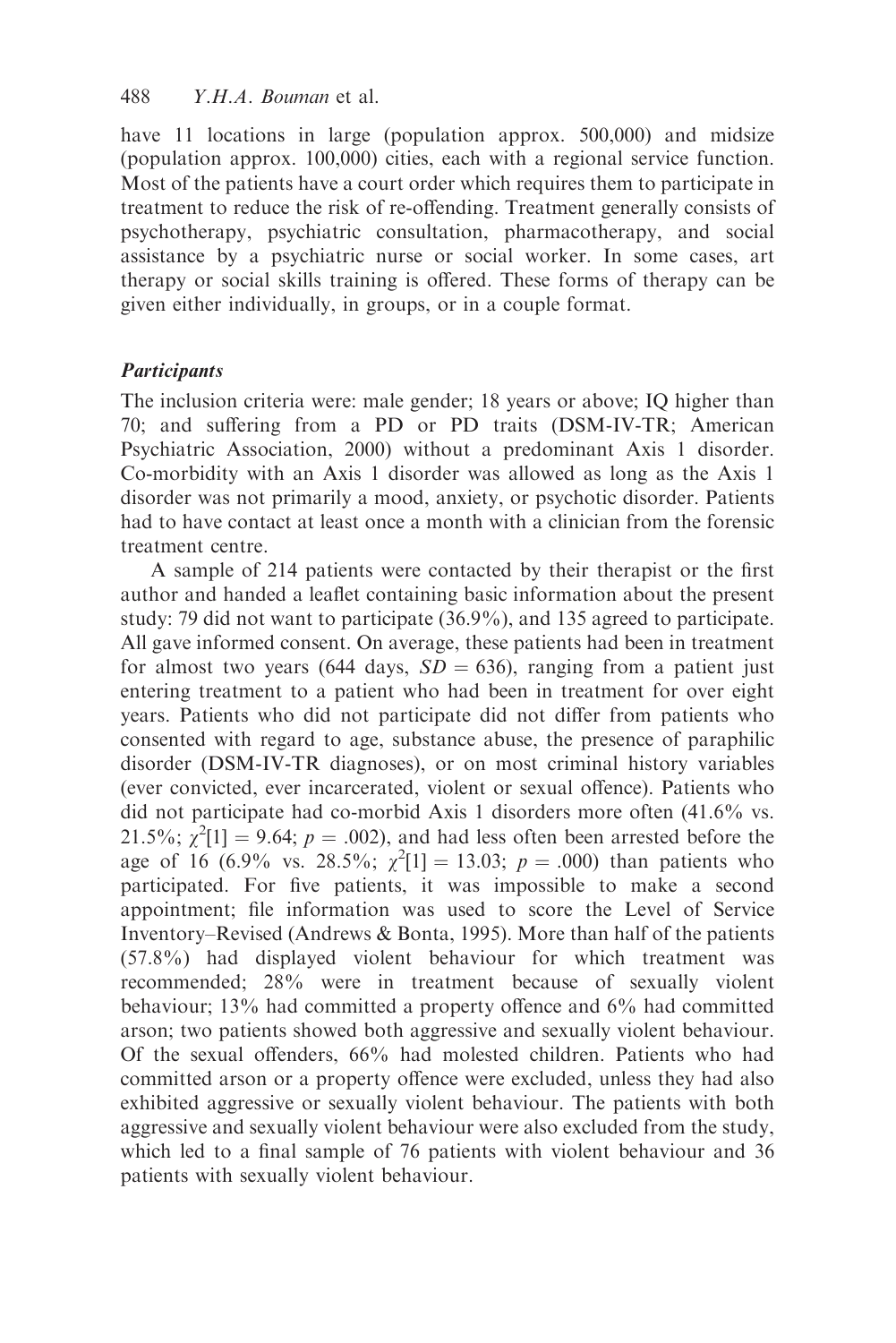have 11 locations in large (population approx. 500,000) and midsize (population approx. 100,000) cities, each with a regional service function. Most of the patients have a court order which requires them to participate in treatment to reduce the risk of re-offending. Treatment generally consists of psychotherapy, psychiatric consultation, pharmacotherapy, and social assistance by a psychiatric nurse or social worker. In some cases, art therapy or social skills training is offered. These forms of therapy can be given either individually, in groups, or in a couple format.

## **Participants**

The inclusion criteria were: male gender; 18 years or above; IQ higher than 70; and suffering from a PD or PD traits (DSM-IV-TR; American Psychiatric Association, 2000) without a predominant Axis 1 disorder. Co-morbidity with an Axis 1 disorder was allowed as long as the Axis 1 disorder was not primarily a mood, anxiety, or psychotic disorder. Patients had to have contact at least once a month with a clinician from the forensic treatment centre.

A sample of 214 patients were contacted by their therapist or the first author and handed a leaflet containing basic information about the present study: 79 did not want to participate (36.9%), and 135 agreed to participate. All gave informed consent. On average, these patients had been in treatment for almost two years (644 days,  $SD = 636$ ), ranging from a patient just entering treatment to a patient who had been in treatment for over eight years. Patients who did not participate did not differ from patients who consented with regard to age, substance abuse, the presence of paraphilic disorder (DSM-IV-TR diagnoses), or on most criminal history variables (ever convicted, ever incarcerated, violent or sexual offence). Patients who did not participate had co-morbid Axis 1 disorders more often (41.6% vs. 21.5%;  $\chi^2[1] = 9.64$ ;  $p = .002$ ), and had less often been arrested before the age of 16 (6.9% vs. 28.5%;  $\chi^2[1] = 13.03$ ;  $p = .000$ ) than patients who participated. For five patients, it was impossible to make a second appointment; file information was used to score the Level of Service Inventory–Revised (Andrews & Bonta, 1995). More than half of the patients (57.8%) had displayed violent behaviour for which treatment was recommended; 28% were in treatment because of sexually violent behaviour; 13% had committed a property offence and 6% had committed arson; two patients showed both aggressive and sexually violent behaviour. Of the sexual offenders, 66% had molested children. Patients who had committed arson or a property offence were excluded, unless they had also exhibited aggressive or sexually violent behaviour. The patients with both aggressive and sexually violent behaviour were also excluded from the study, which led to a final sample of 76 patients with violent behaviour and 36 patients with sexually violent behaviour.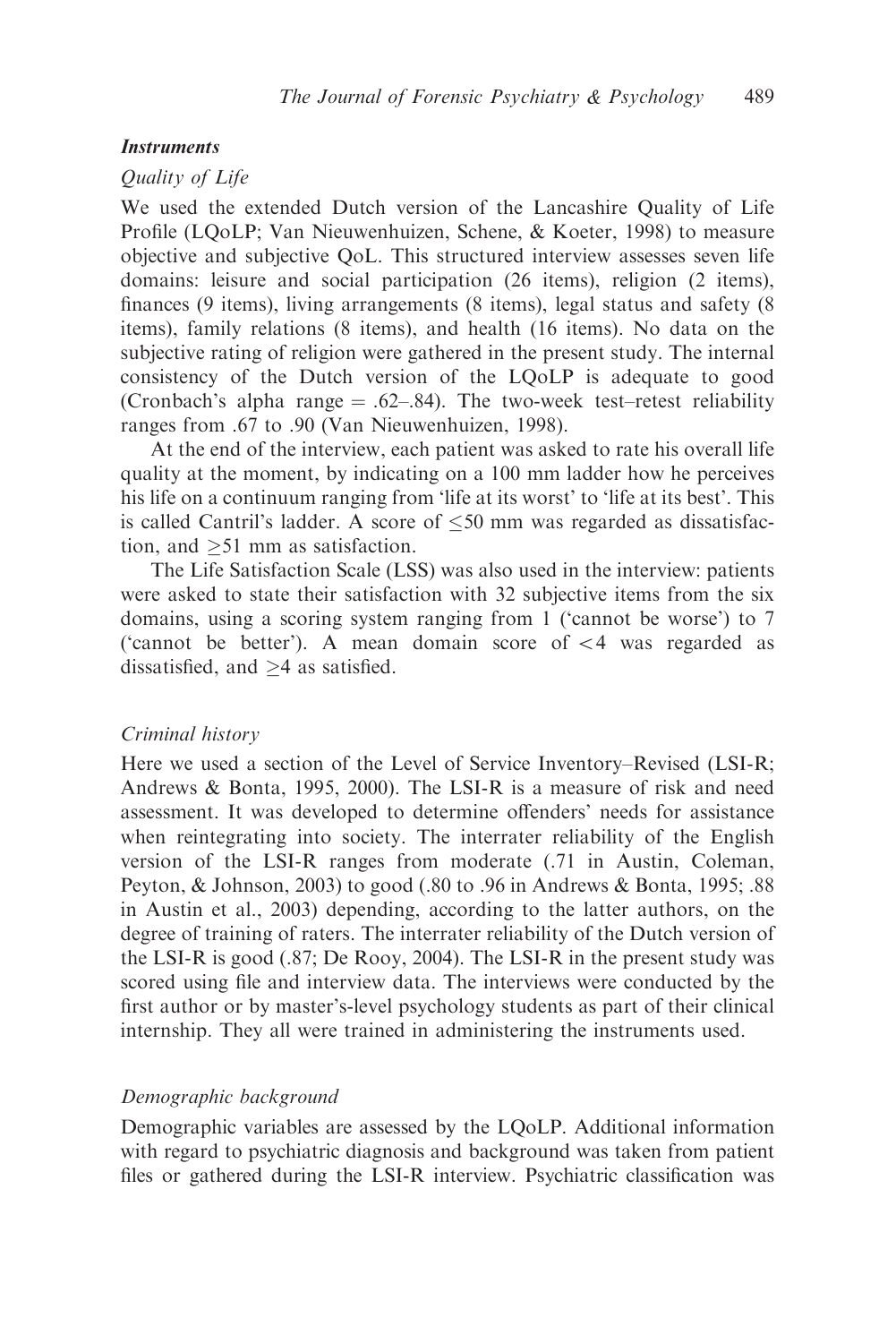#### **Instruments**

#### Quality of Life

We used the extended Dutch version of the Lancashire Quality of Life Profile (LQoLP; Van Nieuwenhuizen, Schene, & Koeter, 1998) to measure objective and subjective QoL. This structured interview assesses seven life domains: leisure and social participation (26 items), religion (2 items), finances (9 items), living arrangements (8 items), legal status and safety (8 items), family relations (8 items), and health (16 items). No data on the subjective rating of religion were gathered in the present study. The internal consistency of the Dutch version of the LQoLP is adequate to good (Cronbach's alpha range  $= .62-.84$ ). The two-week test–retest reliability ranges from .67 to .90 (Van Nieuwenhuizen, 1998).

At the end of the interview, each patient was asked to rate his overall life quality at the moment, by indicating on a 100 mm ladder how he perceives his life on a continuum ranging from 'life at its worst' to 'life at its best'. This is called Cantril's ladder. A score of  $\leq 50$  mm was regarded as dissatisfaction, and  $>51$  mm as satisfaction.

The Life Satisfaction Scale (LSS) was also used in the interview: patients were asked to state their satisfaction with 32 subjective items from the six domains, using a scoring system ranging from 1 ('cannot be worse') to 7 ('cannot be better'). A mean domain score of  $\lt 4$  was regarded as dissatisfied, and  $>4$  as satisfied.

#### Criminal history

Here we used a section of the Level of Service Inventory–Revised (LSI-R; Andrews & Bonta, 1995, 2000). The LSI-R is a measure of risk and need assessment. It was developed to determine offenders' needs for assistance when reintegrating into society. The interrater reliability of the English version of the LSI-R ranges from moderate (.71 in Austin, Coleman, Peyton, & Johnson, 2003) to good (.80 to .96 in Andrews & Bonta, 1995; .88 in Austin et al., 2003) depending, according to the latter authors, on the degree of training of raters. The interrater reliability of the Dutch version of the LSI-R is good (.87; De Rooy, 2004). The LSI-R in the present study was scored using file and interview data. The interviews were conducted by the first author or by master's-level psychology students as part of their clinical internship. They all were trained in administering the instruments used.

### Demographic background

Demographic variables are assessed by the LQoLP. Additional information with regard to psychiatric diagnosis and background was taken from patient files or gathered during the LSI-R interview. Psychiatric classification was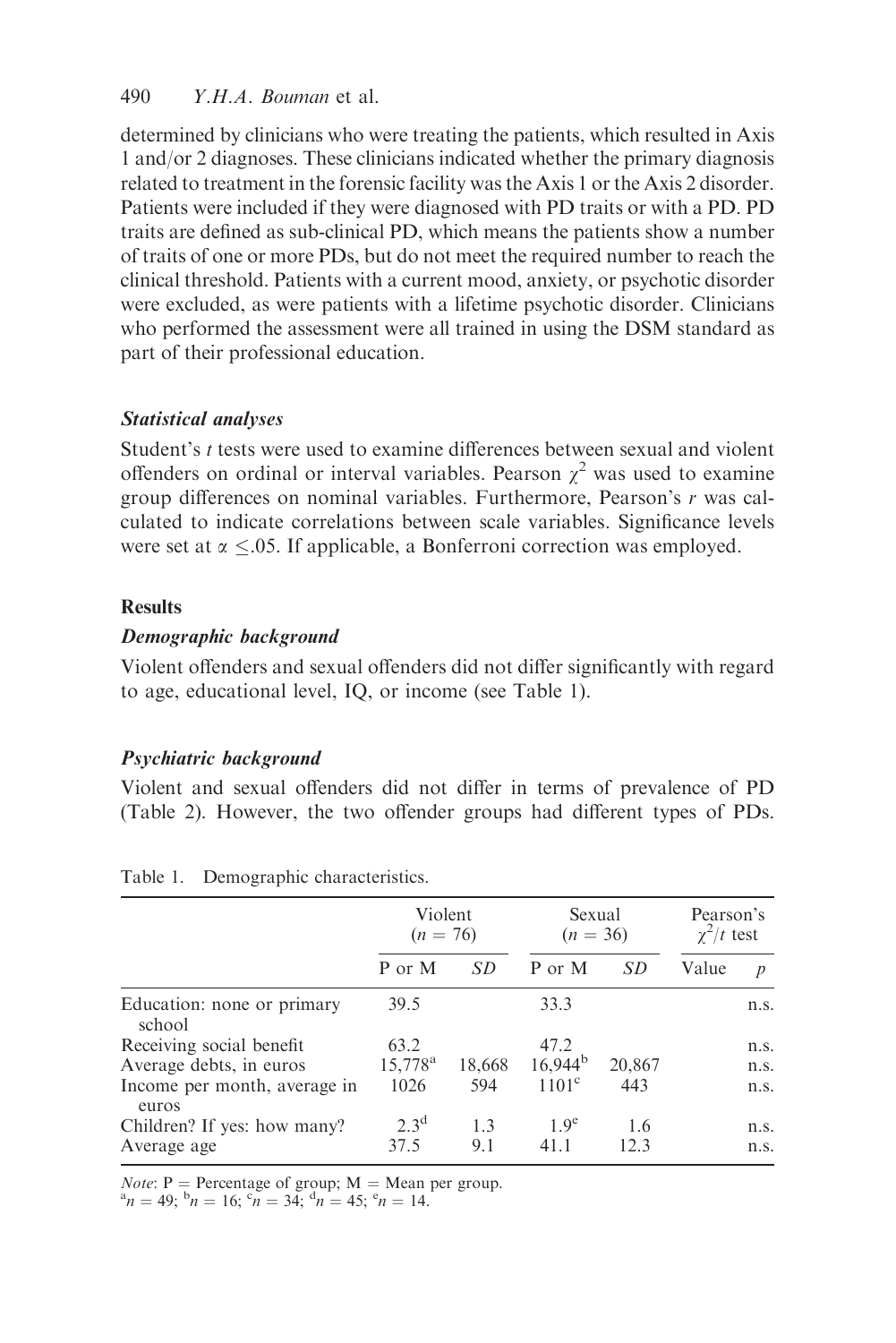determined by clinicians who were treating the patients, which resulted in Axis 1 and/or 2 diagnoses. These clinicians indicated whether the primary diagnosis related to treatment in the forensic facility was the Axis 1 or the Axis 2 disorder. Patients were included if they were diagnosed with PD traits or with a PD. PD traits are defined as sub-clinical PD, which means the patients show a number of traits of one or more PDs, but do not meet the required number to reach the clinical threshold. Patients with a current mood, anxiety, or psychotic disorder were excluded, as were patients with a lifetime psychotic disorder. Clinicians who performed the assessment were all trained in using the DSM standard as part of their professional education.

## Statistical analyses

Student's t tests were used to examine differences between sexual and violent offenders on ordinal or interval variables. Pearson  $\chi^2$  was used to examine group differences on nominal variables. Furthermore, Pearson's r was calculated to indicate correlations between scale variables. Significance levels were set at  $\alpha \leq 0.05$ . If applicable, a Bonferroni correction was employed.

## Results

## Demographic background

Violent offenders and sexual offenders did not differ significantly with regard to age, educational level, IQ, or income (see Table 1).

## Psychiatric background

Violent and sexual offenders did not differ in terms of prevalence of PD (Table 2). However, the two offender groups had different types of PDs.

|                                       | Violent<br>$(n = 76)$ |           | Sexual<br>$(n = 36)$ |        | Pearson's<br>$\chi^2/t$ test |                  |
|---------------------------------------|-----------------------|-----------|----------------------|--------|------------------------------|------------------|
|                                       | P or M                | <i>SD</i> | P or M               | SD     | Value                        | $\boldsymbol{p}$ |
| Education: none or primary<br>school  | 39.5                  |           | 33.3                 |        |                              | n.s.             |
| Receiving social benefit              | 63.2                  |           | 47.2                 |        |                              | n.s.             |
| Average debts, in euros               | $15,778^{\rm a}$      | 18,668    | $16,944^{b}$         | 20,867 |                              | n.s.             |
| Income per month, average in<br>euros | 1026                  | 594       | $1101^{\circ}$       | 443    |                              | n.s.             |
| Children? If yes: how many?           | $2.3^d$               | 1.3       | 1.9 <sup>e</sup>     | 1.6    |                              | n.s.             |
| Average age                           | 37.5                  | 9.1       | 41.1                 | 12.3   |                              | n.s.             |

|  | Table 1. Demographic characteristics. |
|--|---------------------------------------|
|  |                                       |

*Note*:  $P =$  Percentage of group;  $M =$  Mean per group.

 $n = 49$ ;  ${}^{b}n = 16$ ;  ${}^{c}n = 34$ ;  ${}^{d}n = 45$ ;  ${}^{e}n = 14$ .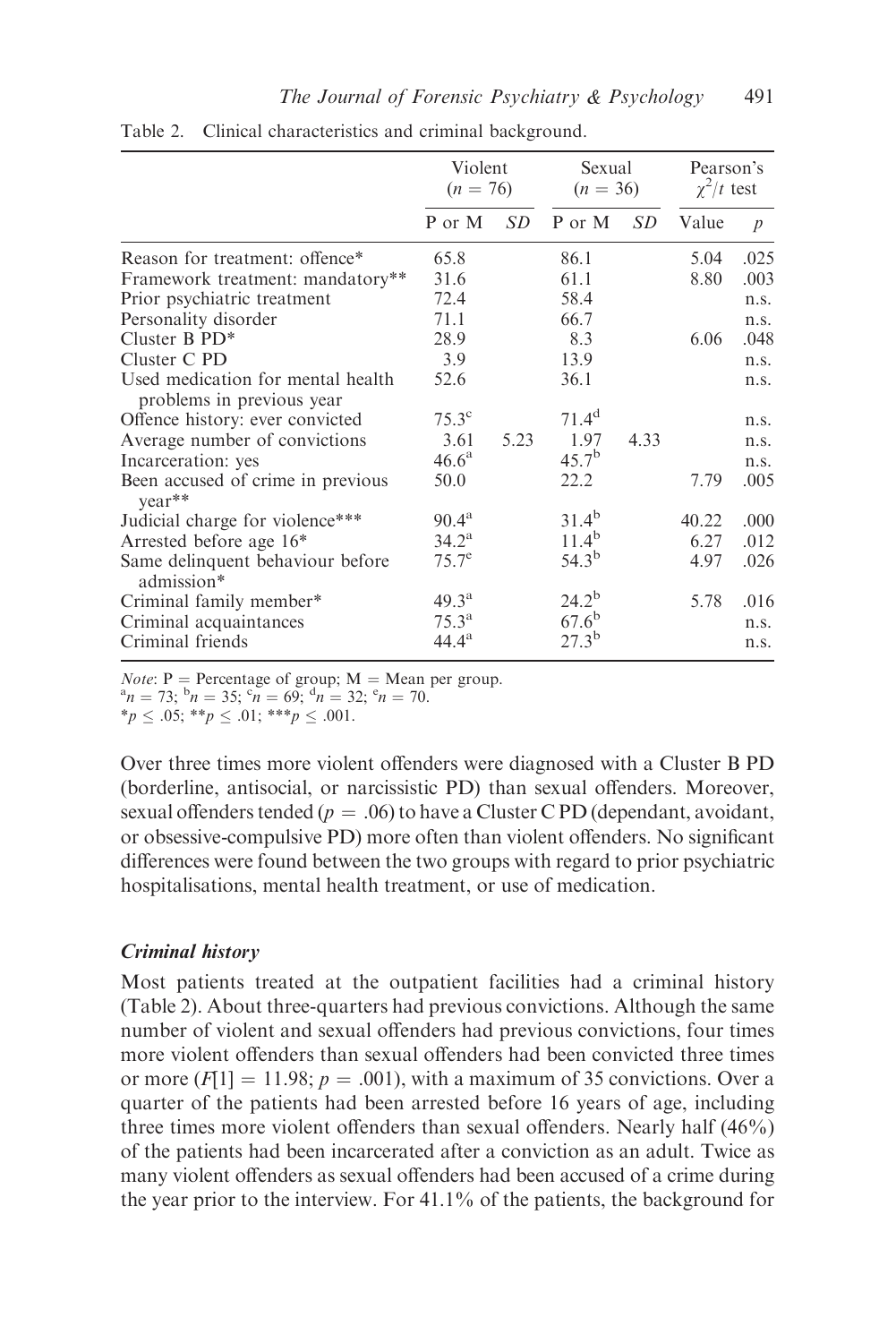|                                                                | Violent<br>$(n = 76)$ |      | Sexual<br>$(n = 36)$ |      | Pearson's<br>$\gamma^2/t$ test |                  |
|----------------------------------------------------------------|-----------------------|------|----------------------|------|--------------------------------|------------------|
|                                                                | P or M                | SD.  | P or M               | SD.  | Value                          | $\boldsymbol{p}$ |
| Reason for treatment: offence*                                 | 65.8                  |      | 86.1                 |      | 5.04                           | .025             |
| Framework treatment: mandatory**                               | 31.6                  |      | 61.1                 |      | 8.80                           | .003             |
| Prior psychiatric treatment                                    | 72.4                  |      | 58.4                 |      |                                | n.s.             |
| Personality disorder                                           | 71.1                  |      | 66.7                 |      |                                | n.s.             |
| Cluster B PD*                                                  | 28.9                  |      | 8.3                  |      | 6.06                           | .048             |
| Cluster C PD                                                   | 3.9                   |      | 13.9                 |      |                                | n.s.             |
| Used medication for mental health<br>problems in previous year | 52.6                  |      | 36.1                 |      |                                | n.s.             |
| Offence history: ever convicted                                | $75.3^\circ$          |      | 71.4 <sup>d</sup>    |      |                                | n.s.             |
| Average number of convictions                                  | 3.61                  | 5.23 | 1.97                 | 4.33 |                                | n.s.             |
| Incarceration: yes                                             | $46.6^{\rm a}$        |      | 45.7 <sup>b</sup>    |      |                                | n.s.             |
| Been accused of crime in previous<br>year**                    | 50.0                  |      | 22.2                 |      | 7.79                           | .005             |
| Judicial charge for violence***                                | $90.4^{\rm a}$        |      | $31.4^{b}$           |      | 40.22                          | .000             |
| Arrested before age 16*                                        | $34.2^{\rm a}$        |      | $11.4^{b}$           |      | 6.27                           | .012             |
| Same delinquent behaviour before<br>admission*                 | $75.7^e$              |      | $54.3^{b}$           |      | 4.97                           | .026             |
| Criminal family member*                                        | $49.3^{\rm a}$        |      | $24.2^{b}$           |      | 5.78                           | .016             |
| Criminal acquaintances                                         | $75.3^{\rm a}$        |      | $67.6^{b}$           |      |                                | n.s.             |
| Criminal friends                                               | $44.4^{\rm a}$        |      | $27.3^{b}$           |      |                                | n.s.             |

Table 2. Clinical characteristics and criminal background.

*Note*:  $P =$  Percentage of group;  $M =$  Mean per group.

 $n = 73$ ;  ${}^{\text{b}}n = 35$ ;  ${}^{\text{c}}n = 69$ ;  ${}^{\text{d}}n = 32$ ;  ${}^{\text{e}}n = 70$ .

 $*_p \leq .05; **_p \leq .01; ***_p \leq .001.$ 

Over three times more violent offenders were diagnosed with a Cluster B PD (borderline, antisocial, or narcissistic PD) than sexual offenders. Moreover, sexual offenders tended ( $p = .06$ ) to have a Cluster C PD (dependant, avoidant, or obsessive-compulsive PD) more often than violent offenders. No significant differences were found between the two groups with regard to prior psychiatric hospitalisations, mental health treatment, or use of medication.

### Criminal history

Most patients treated at the outpatient facilities had a criminal history (Table 2). About three-quarters had previous convictions. Although the same number of violent and sexual offenders had previous convictions, four times more violent offenders than sexual offenders had been convicted three times or more  $(F11 = 11.98; p = .001)$ , with a maximum of 35 convictions. Over a quarter of the patients had been arrested before 16 years of age, including three times more violent offenders than sexual offenders. Nearly half (46%) of the patients had been incarcerated after a conviction as an adult. Twice as many violent offenders as sexual offenders had been accused of a crime during the year prior to the interview. For 41.1% of the patients, the background for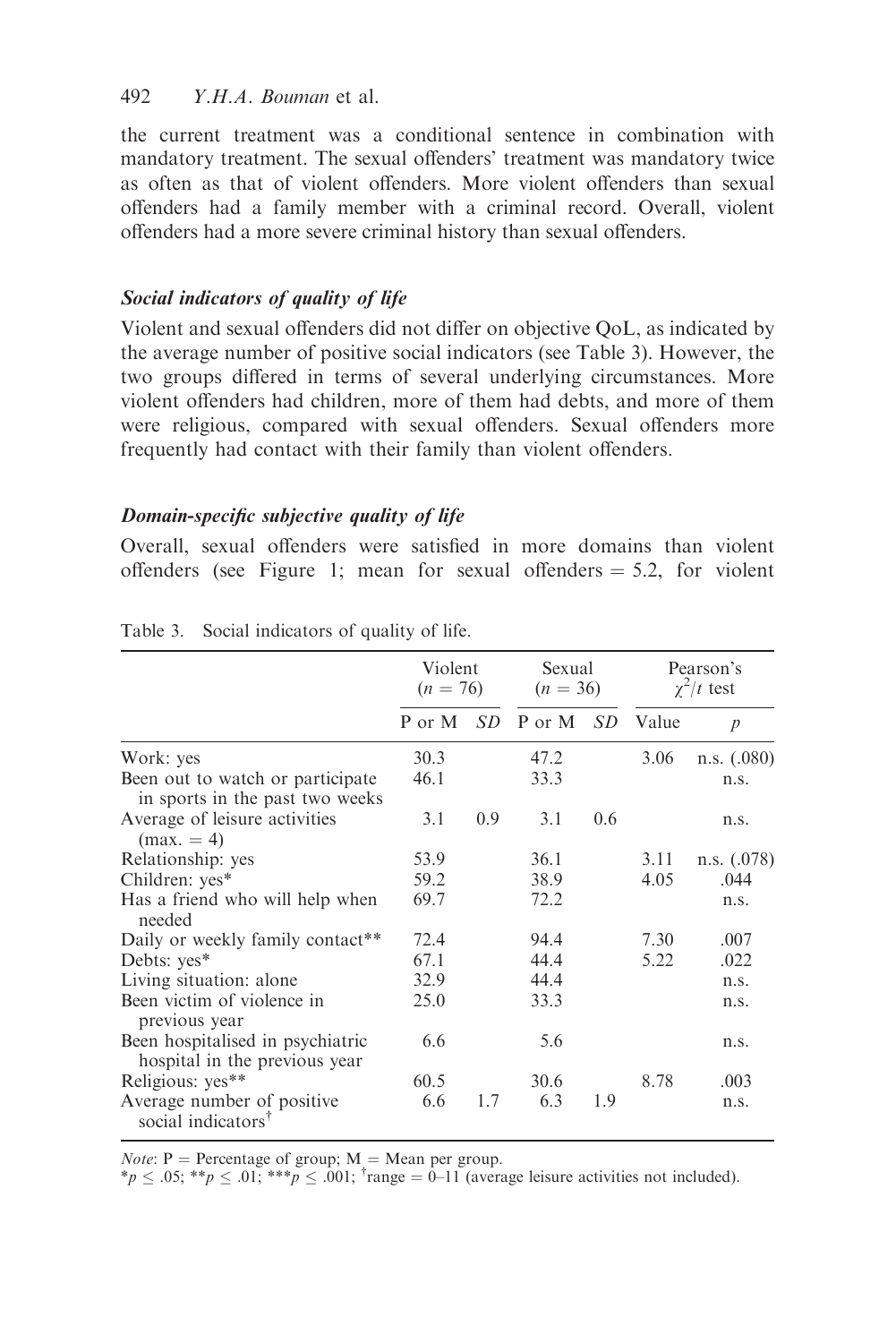the current treatment was a conditional sentence in combination with mandatory treatment. The sexual offenders' treatment was mandatory twice as often as that of violent offenders. More violent offenders than sexual offenders had a family member with a criminal record. Overall, violent offenders had a more severe criminal history than sexual offenders.

## Social indicators of quality of life

Violent and sexual offenders did not differ on objective QoL, as indicated by the average number of positive social indicators (see Table 3). However, the two groups differed in terms of several underlying circumstances. More violent offenders had children, more of them had debts, and more of them were religious, compared with sexual offenders. Sexual offenders more frequently had contact with their family than violent offenders.

## Domain-specific subjective quality of life

Overall, sexual offenders were satisfied in more domains than violent offenders (see Figure 1; mean for sexual offenders  $= 5.2$ , for violent

|                                                                     | Violent<br>$(n = 76)$ |     | Sexual<br>$(n = 36)$ |     | Pearson's<br>$\chi^2/t$ test |                  |
|---------------------------------------------------------------------|-----------------------|-----|----------------------|-----|------------------------------|------------------|
|                                                                     | P or M                | SD. | P or M               | SD. | Value                        | $\boldsymbol{p}$ |
| Work: yes                                                           | 30.3                  |     | 47.2                 |     | 3.06                         | $n.s.$ (.080)    |
| Been out to watch or participate<br>in sports in the past two weeks | 46.1                  |     | 33.3                 |     |                              | n.s.             |
| Average of leisure activities<br>$(max. = 4)$                       | 3.1                   | 0.9 | 3.1                  | 0.6 |                              | n.s.             |
| Relationship: yes                                                   | 53.9                  |     | 36.1                 |     | 3.11                         | $n.s.$ (.078)    |
| Children: yes*                                                      | 59.2                  |     | 38.9                 |     | 4.05                         | .044             |
| Has a friend who will help when<br>needed                           | 69.7                  |     | 72.2                 |     |                              | n.s.             |
| Daily or weekly family contact <sup>**</sup>                        | 72.4                  |     | 94.4                 |     | 7.30                         | .007             |
| Debts: yes*                                                         | 67.1                  |     | 44.4                 |     | 5.22                         | .022             |
| Living situation: alone                                             | 32.9                  |     | 44.4                 |     |                              | n.s.             |
| Been victim of violence in<br>previous year                         | 25.0                  |     | 33.3                 |     |                              | n.s.             |
| Been hospitalised in psychiatric<br>hospital in the previous year   | 6.6                   |     | 5.6                  |     |                              | n.s.             |
| Religious: yes**                                                    | 60.5                  |     | 30.6                 |     | 8.78                         | .003             |
| Average number of positive.<br>social indicators <sup>†</sup>       | 6.6                   | 1.7 | 6.3                  | 1.9 |                              | n.s.             |

### Table 3. Social indicators of quality of life.

*Note*:  $P =$  Percentage of group;  $M =$  Mean per group.

\*p  $\leq$  .05; \*\*p  $\leq$  .01; \*\*\*p  $\leq$  .001; <sup>†</sup>range = 0–11 (average leisure activities not included).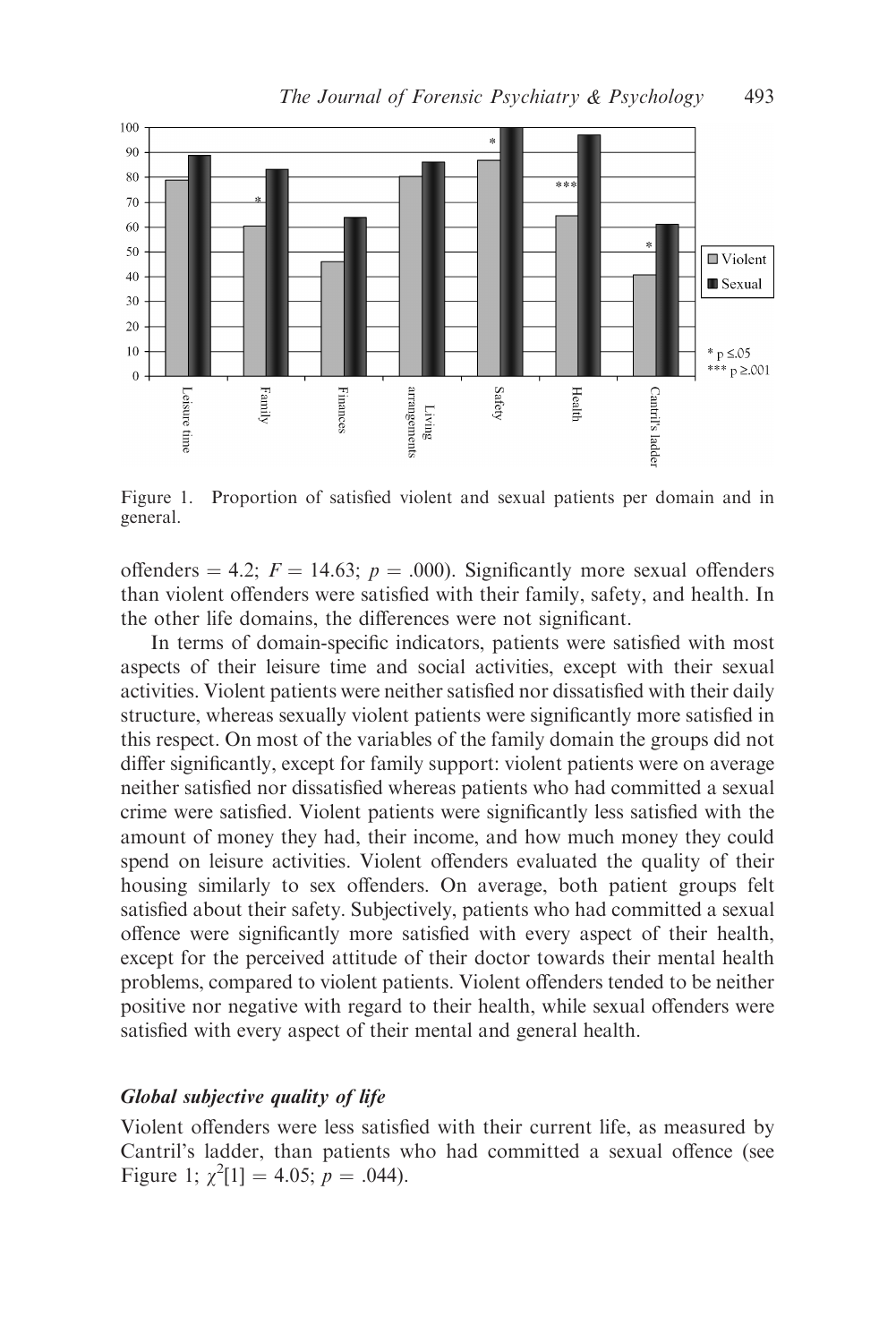

Figure 1. Proportion of satisfied violent and sexual patients per domain and in general.

offenders = 4.2;  $F = 14.63$ ;  $p = .000$ ). Significantly more sexual offenders than violent offenders were satisfied with their family, safety, and health. In the other life domains, the differences were not significant.

In terms of domain-specific indicators, patients were satisfied with most aspects of their leisure time and social activities, except with their sexual activities. Violent patients were neither satisfied nor dissatisfied with their daily structure, whereas sexually violent patients were significantly more satisfied in this respect. On most of the variables of the family domain the groups did not differ significantly, except for family support: violent patients were on average neither satisfied nor dissatisfied whereas patients who had committed a sexual crime were satisfied. Violent patients were significantly less satisfied with the amount of money they had, their income, and how much money they could spend on leisure activities. Violent offenders evaluated the quality of their housing similarly to sex offenders. On average, both patient groups felt satisfied about their safety. Subjectively, patients who had committed a sexual offence were significantly more satisfied with every aspect of their health, except for the perceived attitude of their doctor towards their mental health problems, compared to violent patients. Violent offenders tended to be neither positive nor negative with regard to their health, while sexual offenders were satisfied with every aspect of their mental and general health.

## Global subjective quality of life

Violent offenders were less satisfied with their current life, as measured by Cantril's ladder, than patients who had committed a sexual offence (see Figure 1;  $\chi^2[1] = 4.05$ ;  $p = .044$ ).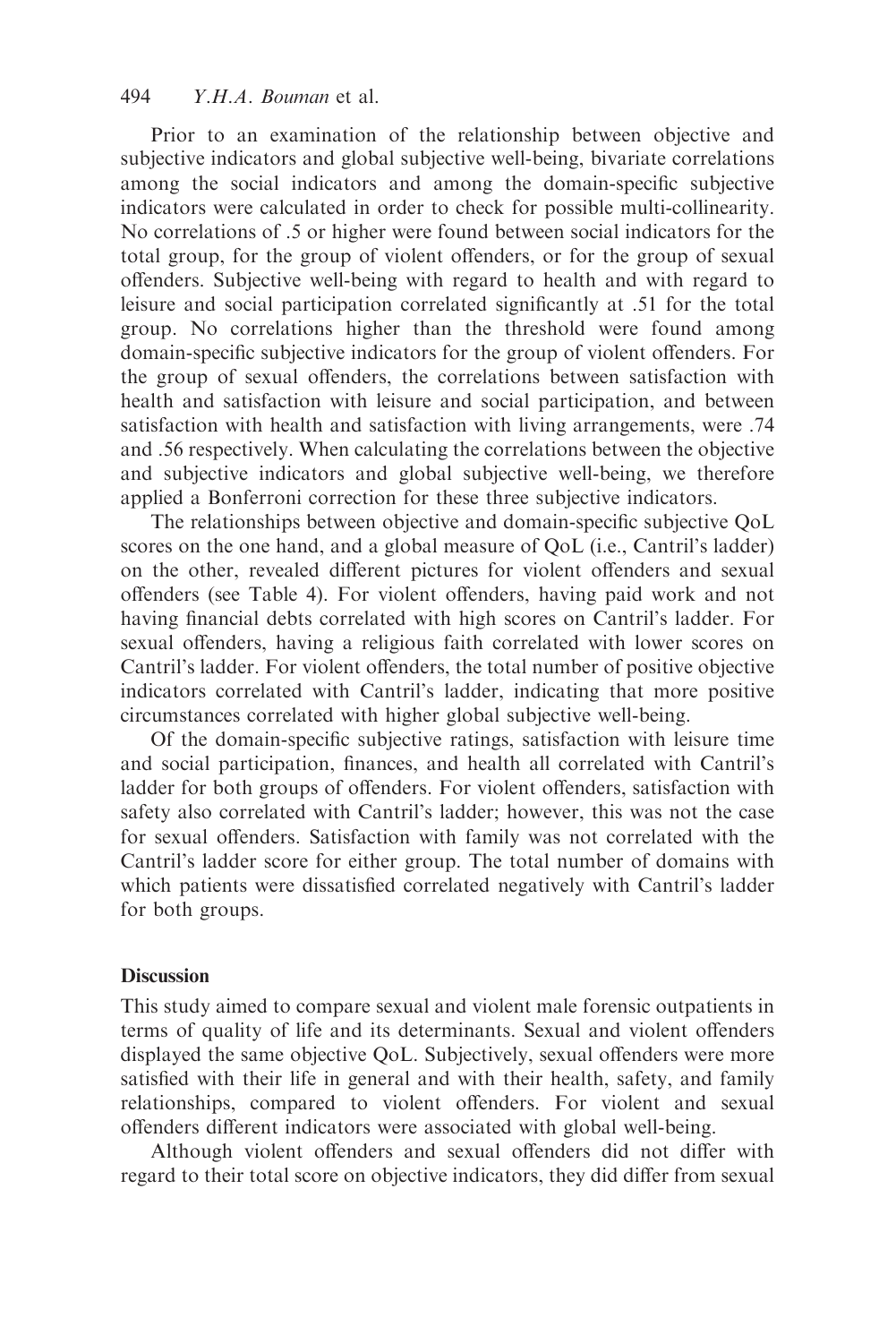Prior to an examination of the relationship between objective and subjective indicators and global subjective well-being, bivariate correlations among the social indicators and among the domain-specific subjective indicators were calculated in order to check for possible multi-collinearity. No correlations of .5 or higher were found between social indicators for the total group, for the group of violent offenders, or for the group of sexual offenders. Subjective well-being with regard to health and with regard to leisure and social participation correlated significantly at .51 for the total group. No correlations higher than the threshold were found among domain-specific subjective indicators for the group of violent offenders. For the group of sexual offenders, the correlations between satisfaction with health and satisfaction with leisure and social participation, and between satisfaction with health and satisfaction with living arrangements, were .74 and .56 respectively. When calculating the correlations between the objective and subjective indicators and global subjective well-being, we therefore applied a Bonferroni correction for these three subjective indicators.

The relationships between objective and domain-specific subjective QoL scores on the one hand, and a global measure of QoL (i.e., Cantril's ladder) on the other, revealed different pictures for violent offenders and sexual offenders (see Table 4). For violent offenders, having paid work and not having financial debts correlated with high scores on Cantril's ladder. For sexual offenders, having a religious faith correlated with lower scores on Cantril's ladder. For violent offenders, the total number of positive objective indicators correlated with Cantril's ladder, indicating that more positive circumstances correlated with higher global subjective well-being.

Of the domain-specific subjective ratings, satisfaction with leisure time and social participation, finances, and health all correlated with Cantril's ladder for both groups of offenders. For violent offenders, satisfaction with safety also correlated with Cantril's ladder; however, this was not the case for sexual offenders. Satisfaction with family was not correlated with the Cantril's ladder score for either group. The total number of domains with which patients were dissatisfied correlated negatively with Cantril's ladder for both groups.

### **Discussion**

This study aimed to compare sexual and violent male forensic outpatients in terms of quality of life and its determinants. Sexual and violent offenders displayed the same objective QoL. Subjectively, sexual offenders were more satisfied with their life in general and with their health, safety, and family relationships, compared to violent offenders. For violent and sexual offenders different indicators were associated with global well-being.

Although violent offenders and sexual offenders did not differ with regard to their total score on objective indicators, they did differ from sexual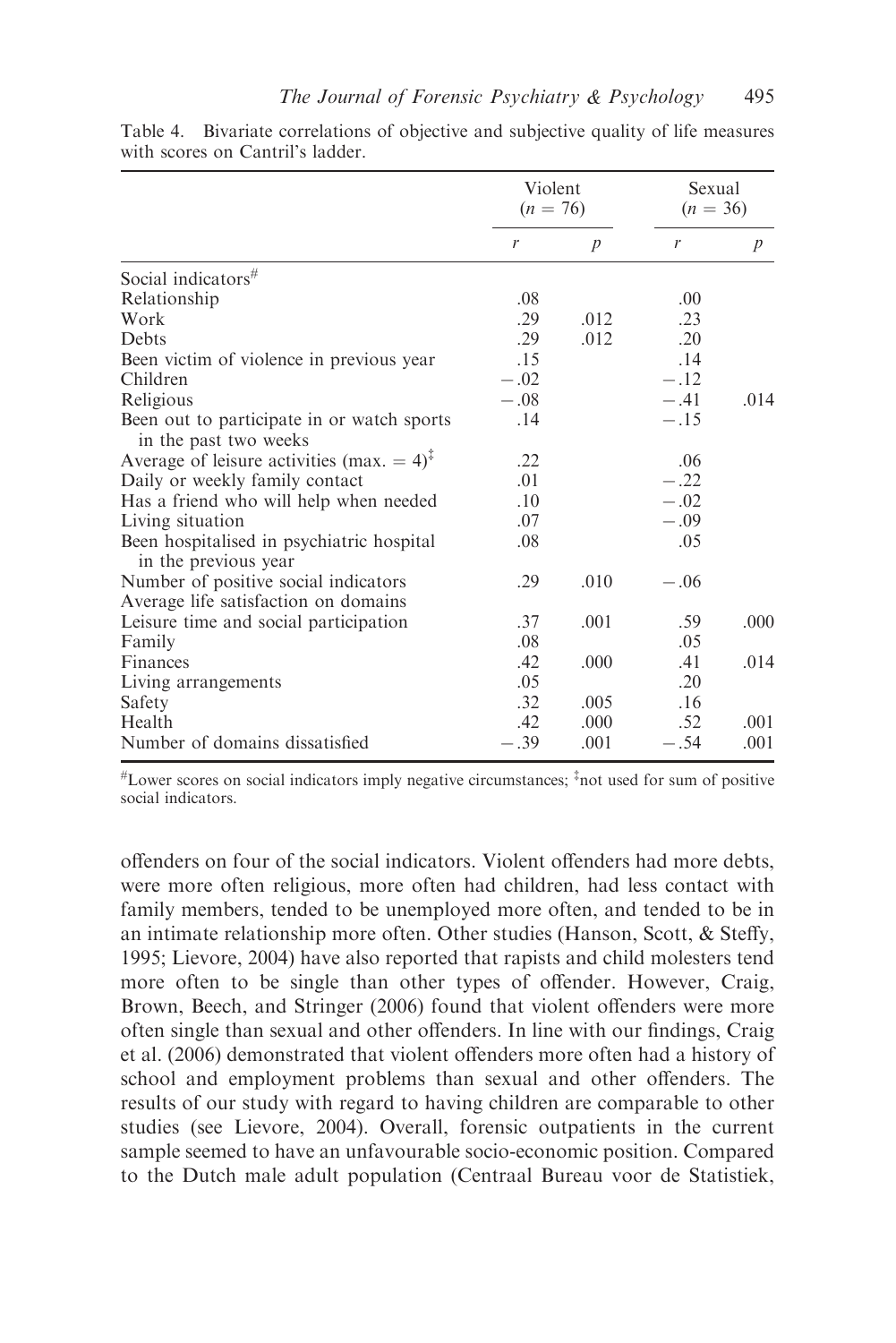|                                                                   | Violent<br>$(n = 76)$ |                  |              | Sexual<br>$(n = 36)$ |  |
|-------------------------------------------------------------------|-----------------------|------------------|--------------|----------------------|--|
|                                                                   | r                     | $\boldsymbol{p}$ | $\mathbf{r}$ | $\overline{p}$       |  |
| Social indicators $#$                                             |                       |                  |              |                      |  |
| Relationship                                                      | .08                   |                  | .00          |                      |  |
| Work                                                              | .29                   | .012             | .23          |                      |  |
| Debts                                                             | .29                   | .012             | .20          |                      |  |
| Been victim of violence in previous year                          | .15                   |                  | .14          |                      |  |
| Children                                                          | $-.02$                |                  | $-.12$       |                      |  |
| Religious                                                         | $-.08$                |                  | $-.41$       | .014                 |  |
| Been out to participate in or watch sports                        | .14                   |                  | $-.15$       |                      |  |
| in the past two weeks                                             |                       |                  |              |                      |  |
| Average of leisure activities (max. $= 4$ ) <sup>T</sup>          | .22                   |                  | .06          |                      |  |
| Daily or weekly family contact                                    | .01                   |                  | $-.22$       |                      |  |
| Has a friend who will help when needed                            | .10                   |                  | $-.02$       |                      |  |
| Living situation                                                  | .07                   |                  | $-.09$       |                      |  |
| Been hospitalised in psychiatric hospital<br>in the previous year | .08                   |                  | .05          |                      |  |
| Number of positive social indicators                              | .29                   | .010             | $-.06$       |                      |  |
| Average life satisfaction on domains                              |                       |                  |              |                      |  |
| Leisure time and social participation                             | .37                   | .001             | .59          | .000                 |  |
| Family                                                            | .08                   |                  | .05          |                      |  |
| Finances                                                          | .42                   | .000             | .41          | .014                 |  |
| Living arrangements                                               | .05                   |                  | .20          |                      |  |
| Safety                                                            | .32                   | .005             | .16          |                      |  |
| Health                                                            | .42                   | .000             | .52          | .001                 |  |
| Number of domains dissatisfied                                    | $-.39$                | .001             | $-.54$       | .001                 |  |

Table 4. Bivariate correlations of objective and subjective quality of life measures with scores on Cantril's ladder.

# Lower scores on social indicators imply negative circumstances; { not used for sum of positive social indicators.

offenders on four of the social indicators. Violent offenders had more debts, were more often religious, more often had children, had less contact with family members, tended to be unemployed more often, and tended to be in an intimate relationship more often. Other studies (Hanson, Scott, & Steffy, 1995; Lievore, 2004) have also reported that rapists and child molesters tend more often to be single than other types of offender. However, Craig, Brown, Beech, and Stringer (2006) found that violent offenders were more often single than sexual and other offenders. In line with our findings, Craig et al. (2006) demonstrated that violent offenders more often had a history of school and employment problems than sexual and other offenders. The results of our study with regard to having children are comparable to other studies (see Lievore, 2004). Overall, forensic outpatients in the current sample seemed to have an unfavourable socio-economic position. Compared to the Dutch male adult population (Centraal Bureau voor de Statistiek,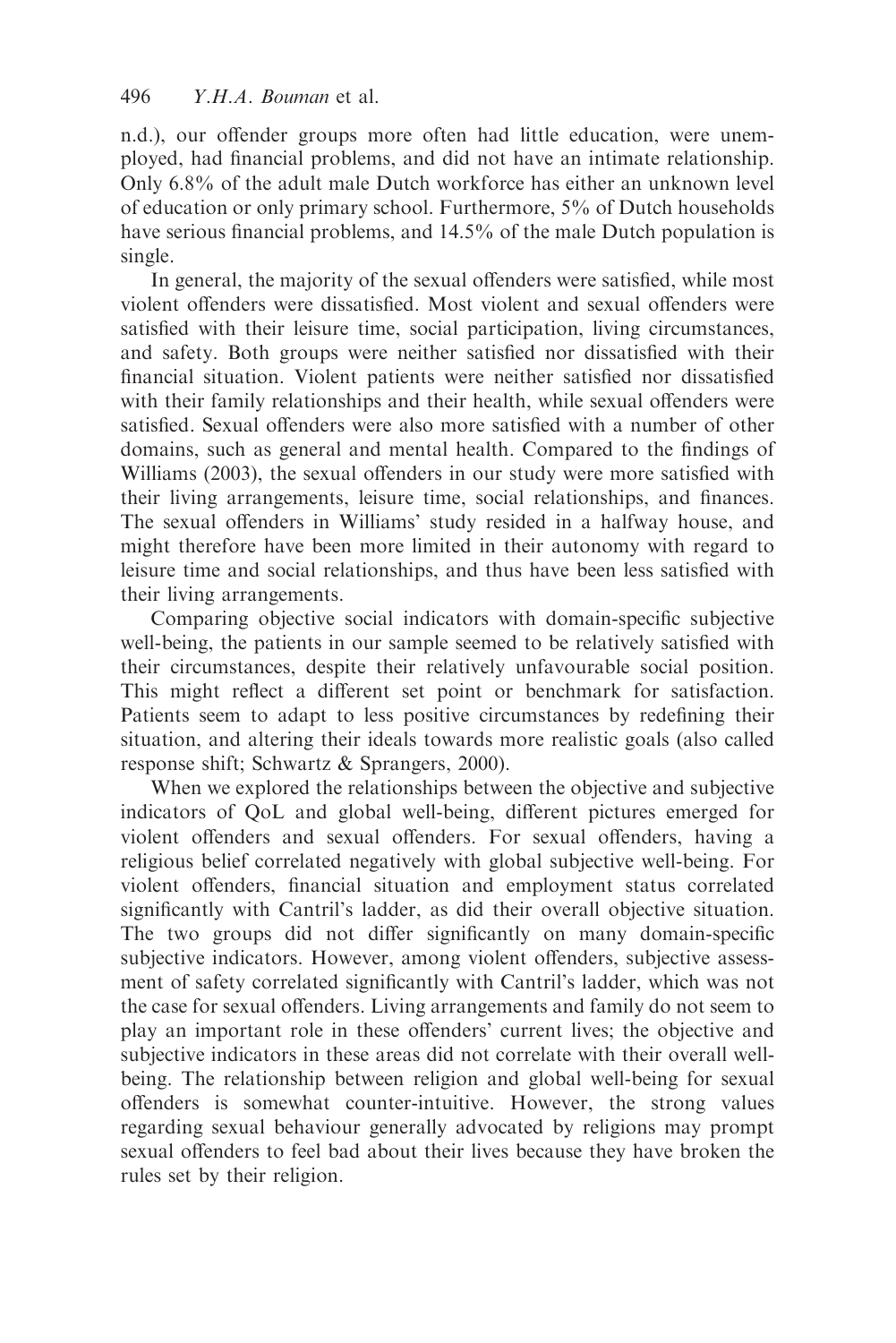n.d.), our offender groups more often had little education, were unemployed, had financial problems, and did not have an intimate relationship. Only 6.8% of the adult male Dutch workforce has either an unknown level of education or only primary school. Furthermore, 5% of Dutch households have serious financial problems, and 14.5% of the male Dutch population is single.

In general, the majority of the sexual offenders were satisfied, while most violent offenders were dissatisfied. Most violent and sexual offenders were satisfied with their leisure time, social participation, living circumstances, and safety. Both groups were neither satisfied nor dissatisfied with their financial situation. Violent patients were neither satisfied nor dissatisfied with their family relationships and their health, while sexual offenders were satisfied. Sexual offenders were also more satisfied with a number of other domains, such as general and mental health. Compared to the findings of Williams (2003), the sexual offenders in our study were more satisfied with their living arrangements, leisure time, social relationships, and finances. The sexual offenders in Williams' study resided in a halfway house, and might therefore have been more limited in their autonomy with regard to leisure time and social relationships, and thus have been less satisfied with their living arrangements.

Comparing objective social indicators with domain-specific subjective well-being, the patients in our sample seemed to be relatively satisfied with their circumstances, despite their relatively unfavourable social position. This might reflect a different set point or benchmark for satisfaction. Patients seem to adapt to less positive circumstances by redefining their situation, and altering their ideals towards more realistic goals (also called response shift; Schwartz & Sprangers, 2000).

When we explored the relationships between the objective and subjective indicators of QoL and global well-being, different pictures emerged for violent offenders and sexual offenders. For sexual offenders, having a religious belief correlated negatively with global subjective well-being. For violent offenders, financial situation and employment status correlated significantly with Cantril's ladder, as did their overall objective situation. The two groups did not differ significantly on many domain-specific subjective indicators. However, among violent offenders, subjective assessment of safety correlated significantly with Cantril's ladder, which was not the case for sexual offenders. Living arrangements and family do not seem to play an important role in these offenders' current lives; the objective and subjective indicators in these areas did not correlate with their overall wellbeing. The relationship between religion and global well-being for sexual offenders is somewhat counter-intuitive. However, the strong values regarding sexual behaviour generally advocated by religions may prompt sexual offenders to feel bad about their lives because they have broken the rules set by their religion.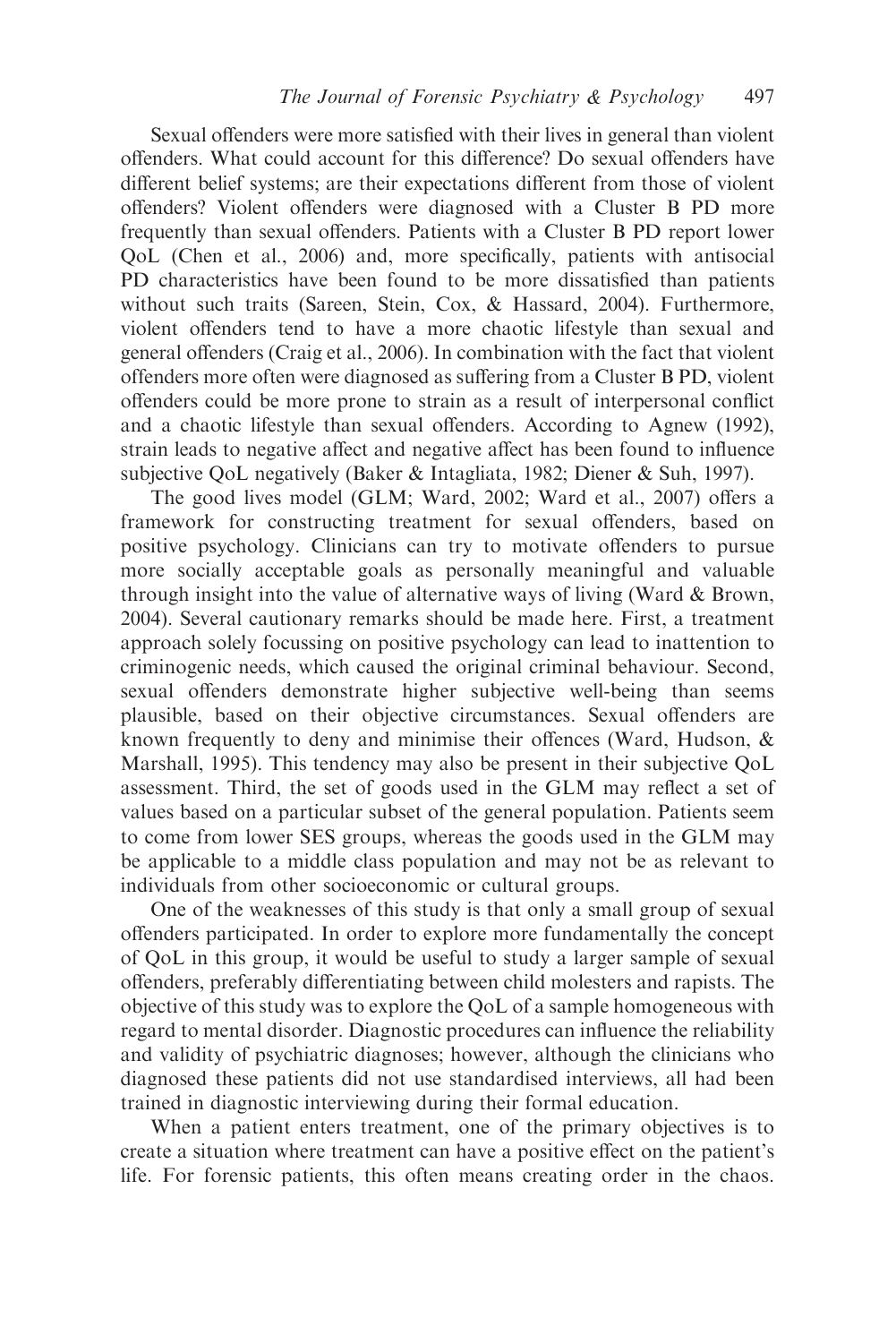Sexual offenders were more satisfied with their lives in general than violent offenders. What could account for this difference? Do sexual offenders have different belief systems; are their expectations different from those of violent offenders? Violent offenders were diagnosed with a Cluster B PD more frequently than sexual offenders. Patients with a Cluster B PD report lower QoL (Chen et al., 2006) and, more specifically, patients with antisocial PD characteristics have been found to be more dissatisfied than patients without such traits (Sareen, Stein, Cox, & Hassard, 2004). Furthermore, violent offenders tend to have a more chaotic lifestyle than sexual and general offenders (Craig et al., 2006). In combination with the fact that violent offenders more often were diagnosed as suffering from a Cluster B PD, violent offenders could be more prone to strain as a result of interpersonal conflict and a chaotic lifestyle than sexual offenders. According to Agnew (1992), strain leads to negative affect and negative affect has been found to influence subjective QoL negatively (Baker & Intagliata, 1982; Diener & Suh, 1997).

The good lives model (GLM; Ward, 2002; Ward et al., 2007) offers a framework for constructing treatment for sexual offenders, based on positive psychology. Clinicians can try to motivate offenders to pursue more socially acceptable goals as personally meaningful and valuable through insight into the value of alternative ways of living (Ward & Brown, 2004). Several cautionary remarks should be made here. First, a treatment approach solely focussing on positive psychology can lead to inattention to criminogenic needs, which caused the original criminal behaviour. Second, sexual offenders demonstrate higher subjective well-being than seems plausible, based on their objective circumstances. Sexual offenders are known frequently to deny and minimise their offences (Ward, Hudson, & Marshall, 1995). This tendency may also be present in their subjective QoL assessment. Third, the set of goods used in the GLM may reflect a set of values based on a particular subset of the general population. Patients seem to come from lower SES groups, whereas the goods used in the GLM may be applicable to a middle class population and may not be as relevant to individuals from other socioeconomic or cultural groups.

One of the weaknesses of this study is that only a small group of sexual offenders participated. In order to explore more fundamentally the concept of QoL in this group, it would be useful to study a larger sample of sexual offenders, preferably differentiating between child molesters and rapists. The objective of this study was to explore the QoL of a sample homogeneous with regard to mental disorder. Diagnostic procedures can influence the reliability and validity of psychiatric diagnoses; however, although the clinicians who diagnosed these patients did not use standardised interviews, all had been trained in diagnostic interviewing during their formal education.

When a patient enters treatment, one of the primary objectives is to create a situation where treatment can have a positive effect on the patient's life. For forensic patients, this often means creating order in the chaos.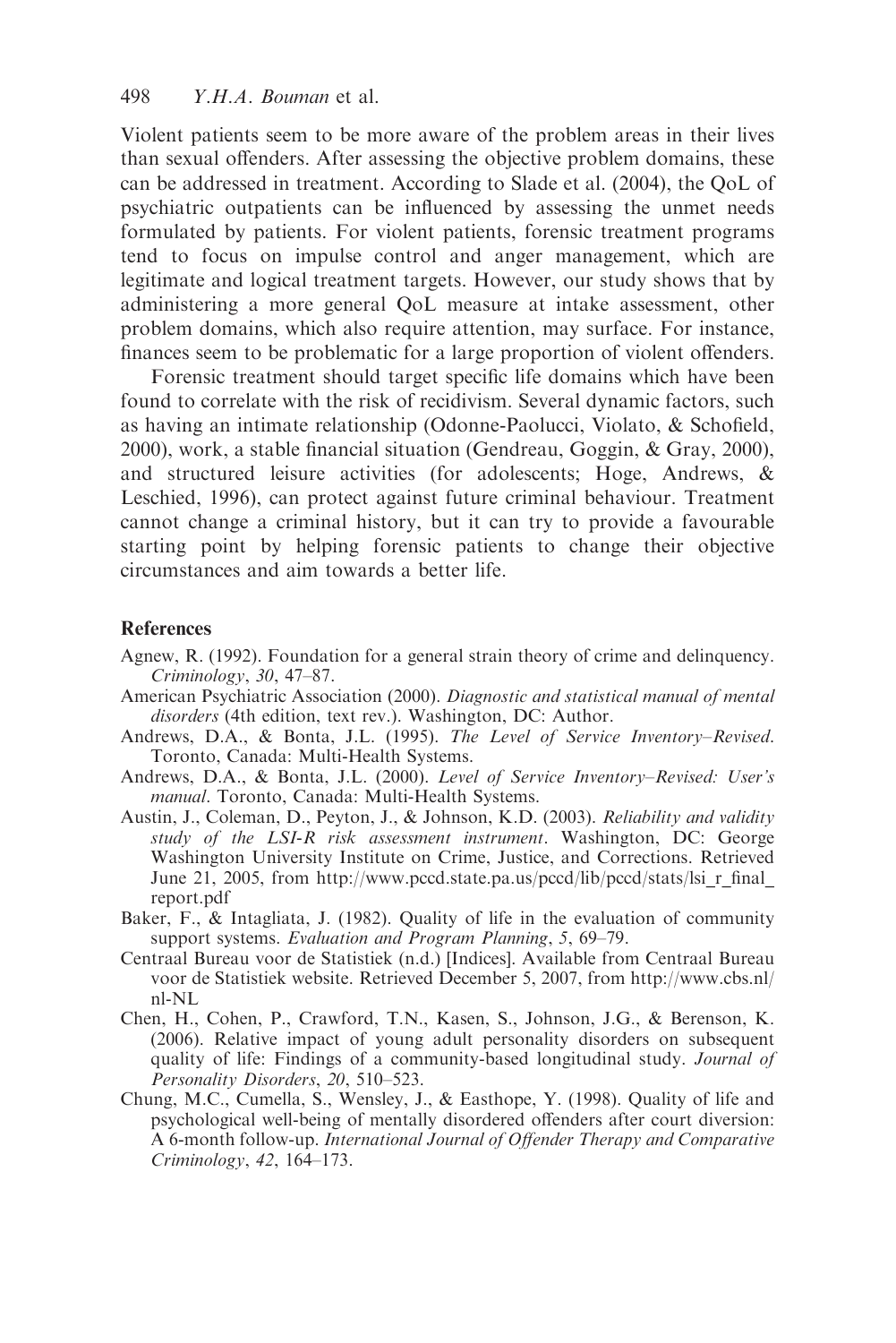Violent patients seem to be more aware of the problem areas in their lives than sexual offenders. After assessing the objective problem domains, these can be addressed in treatment. According to Slade et al. (2004), the QoL of psychiatric outpatients can be influenced by assessing the unmet needs formulated by patients. For violent patients, forensic treatment programs tend to focus on impulse control and anger management, which are legitimate and logical treatment targets. However, our study shows that by administering a more general QoL measure at intake assessment, other problem domains, which also require attention, may surface. For instance, finances seem to be problematic for a large proportion of violent offenders.

Forensic treatment should target specific life domains which have been found to correlate with the risk of recidivism. Several dynamic factors, such as having an intimate relationship (Odonne-Paolucci, Violato, & Schofield, 2000), work, a stable financial situation (Gendreau, Goggin, & Gray, 2000), and structured leisure activities (for adolescents; Hoge, Andrews, & Leschied, 1996), can protect against future criminal behaviour. Treatment cannot change a criminal history, but it can try to provide a favourable starting point by helping forensic patients to change their objective circumstances and aim towards a better life.

## References

- Agnew, R. (1992). Foundation for a general strain theory of crime and delinquency. Criminology, 30, 47–87.
- American Psychiatric Association (2000). Diagnostic and statistical manual of mental disorders (4th edition, text rev.). Washington, DC: Author.
- Andrews, D.A., & Bonta, J.L. (1995). The Level of Service Inventory–Revised. Toronto, Canada: Multi-Health Systems.
- Andrews, D.A., & Bonta, J.L. (2000). Level of Service Inventory–Revised: User's manual. Toronto, Canada: Multi-Health Systems.
- Austin, J., Coleman, D., Peyton, J., & Johnson, K.D. (2003). Reliability and validity study of the LSI-R risk assessment instrument. Washington, DC: George Washington University Institute on Crime, Justice, and Corrections. Retrieved June 21, 2005, from [http://www.pccd.state.pa.us/pccd/lib/pccd/stats/lsi\\_r\\_final\\_](http://www.pccd.state.pa.us/pccd/lib/pccd/stats/lsi_r_final_report.pdf) [report.pdf](http://www.pccd.state.pa.us/pccd/lib/pccd/stats/lsi_r_final_report.pdf)
- Baker, F., & Intagliata, J. (1982). Quality of life in the evaluation of community support systems. Evaluation and Program Planning, 5, 69–79.
- Centraal Bureau voor de Statistiek (n.d.) [Indices]. Available from Centraal Bureau voor de Statistiek website. Retrieved December 5, 2007, from http://www.cbs.nl/ nl-NL
- Chen, H., Cohen, P., Crawford, T.N., Kasen, S., Johnson, J.G., & Berenson, K. (2006). Relative impact of young adult personality disorders on subsequent quality of life: Findings of a community-based longitudinal study. Journal of Personality Disorders, 20, 510–523.
- Chung, M.C., Cumella, S., Wensley, J., & Easthope, Y. (1998). Quality of life and psychological well-being of mentally disordered offenders after court diversion: A 6-month follow-up. International Journal of Offender Therapy and Comparative Criminology, 42, 164–173.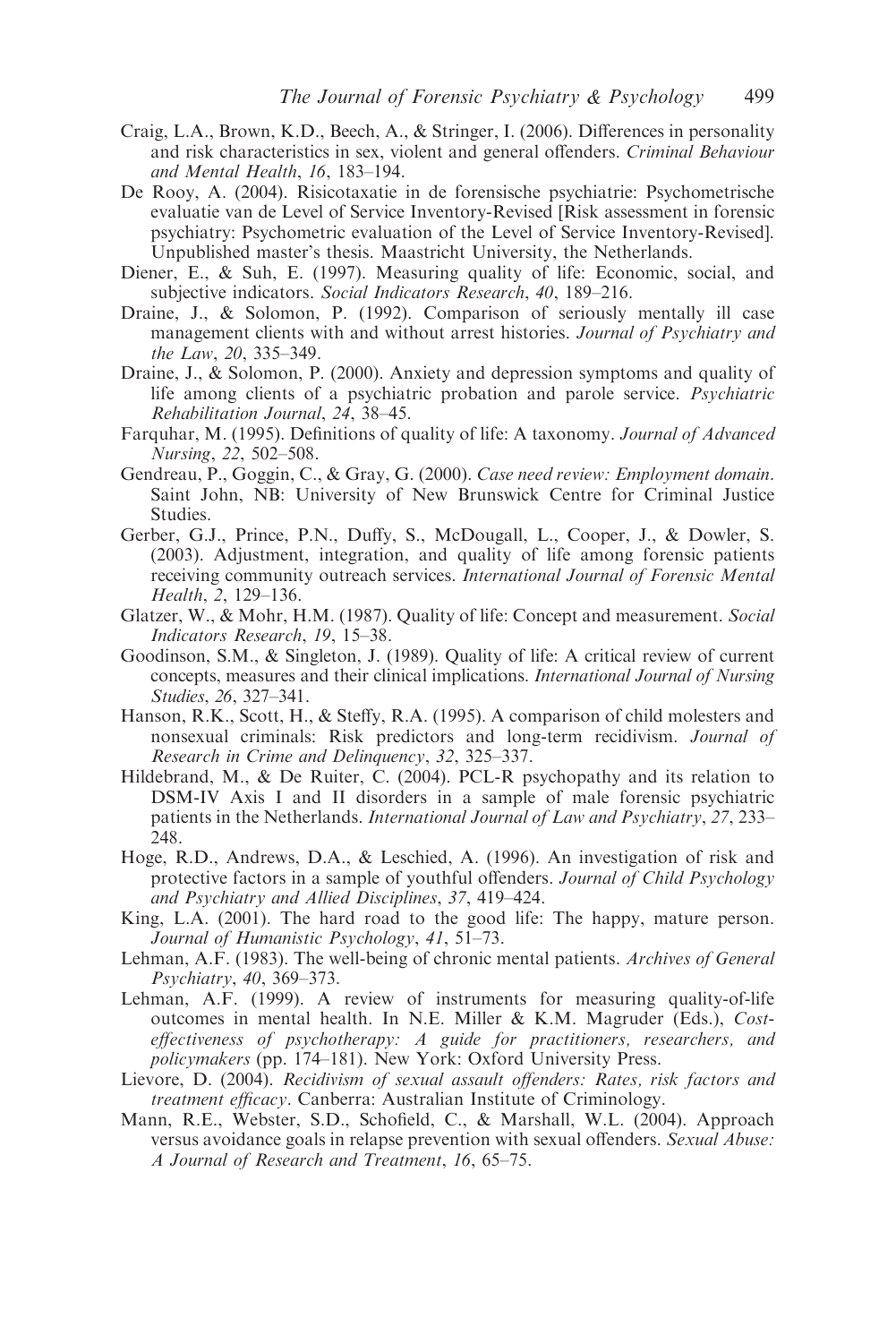- Craig, L.A., Brown, K.D., Beech, A., & Stringer, I. (2006). Differences in personality and risk characteristics in sex, violent and general offenders. Criminal Behaviour and Mental Health, 16, 183–194.
- De Rooy, A. (2004). Risicotaxatie in de forensische psychiatrie: Psychometrische evaluatie van de Level of Service Inventory-Revised [Risk assessment in forensic psychiatry: Psychometric evaluation of the Level of Service Inventory-Revised]. Unpublished master's thesis. Maastricht University, the Netherlands.
- Diener, E., & Suh, E. (1997). Measuring quality of life: Economic, social, and subjective indicators. Social Indicators Research, 40, 189–216.
- Draine, J., & Solomon, P. (1992). Comparison of seriously mentally ill case management clients with and without arrest histories. Journal of Psychiatry and the Law, 20, 335–349.
- Draine, J., & Solomon, P. (2000). Anxiety and depression symptoms and quality of life among clients of a psychiatric probation and parole service. Psychiatric Rehabilitation Journal, 24, 38–45.
- Farquhar, M. (1995). Definitions of quality of life: A taxonomy. Journal of Advanced Nursing, 22, 502–508.
- Gendreau, P., Goggin, C., & Gray, G. (2000). Case need review: Employment domain. Saint John, NB: University of New Brunswick Centre for Criminal Justice Studies.
- Gerber, G.J., Prince, P.N., Duffy, S., McDougall, L., Cooper, J., & Dowler, S. (2003). Adjustment, integration, and quality of life among forensic patients receiving community outreach services. International Journal of Forensic Mental Health, 2, 129–136.
- Glatzer, W., & Mohr, H.M. (1987). Quality of life: Concept and measurement. Social Indicators Research, 19, 15–38.
- Goodinson, S.M., & Singleton, J. (1989). Quality of life: A critical review of current concepts, measures and their clinical implications. International Journal of Nursing Studies, 26, 327–341.
- Hanson, R.K., Scott, H., & Steffy, R.A. (1995). A comparison of child molesters and nonsexual criminals: Risk predictors and long-term recidivism. Journal of Research in Crime and Delinquency, 32, 325–337.
- Hildebrand, M., & De Ruiter, C. (2004). PCL-R psychopathy and its relation to DSM-IV Axis I and II disorders in a sample of male forensic psychiatric patients in the Netherlands. International Journal of Law and Psychiatry, 27, 233– 248.
- Hoge, R.D., Andrews, D.A., & Leschied, A. (1996). An investigation of risk and protective factors in a sample of youthful offenders. Journal of Child Psychology and Psychiatry and Allied Disciplines, 37, 419–424.
- King, L.A. (2001). The hard road to the good life: The happy, mature person. Journal of Humanistic Psychology, 41, 51–73.
- Lehman, A.F. (1983). The well-being of chronic mental patients. Archives of General Psychiatry, 40, 369–373.
- Lehman, A.F. (1999). A review of instruments for measuring quality-of-life outcomes in mental health. In N.E. Miller & K.M. Magruder (Eds.), Costeffectiveness of psychotherapy: A guide for practitioners, researchers, and policymakers (pp. 174–181). New York: Oxford University Press.
- Lievore, D. (2004). Recidivism of sexual assault offenders: Rates, risk factors and treatment efficacy. Canberra: Australian Institute of Criminology.
- Mann, R.E., Webster, S.D., Schofield, C., & Marshall, W.L. (2004). Approach versus avoidance goals in relapse prevention with sexual offenders. Sexual Abuse: A Journal of Research and Treatment, 16, 65–75.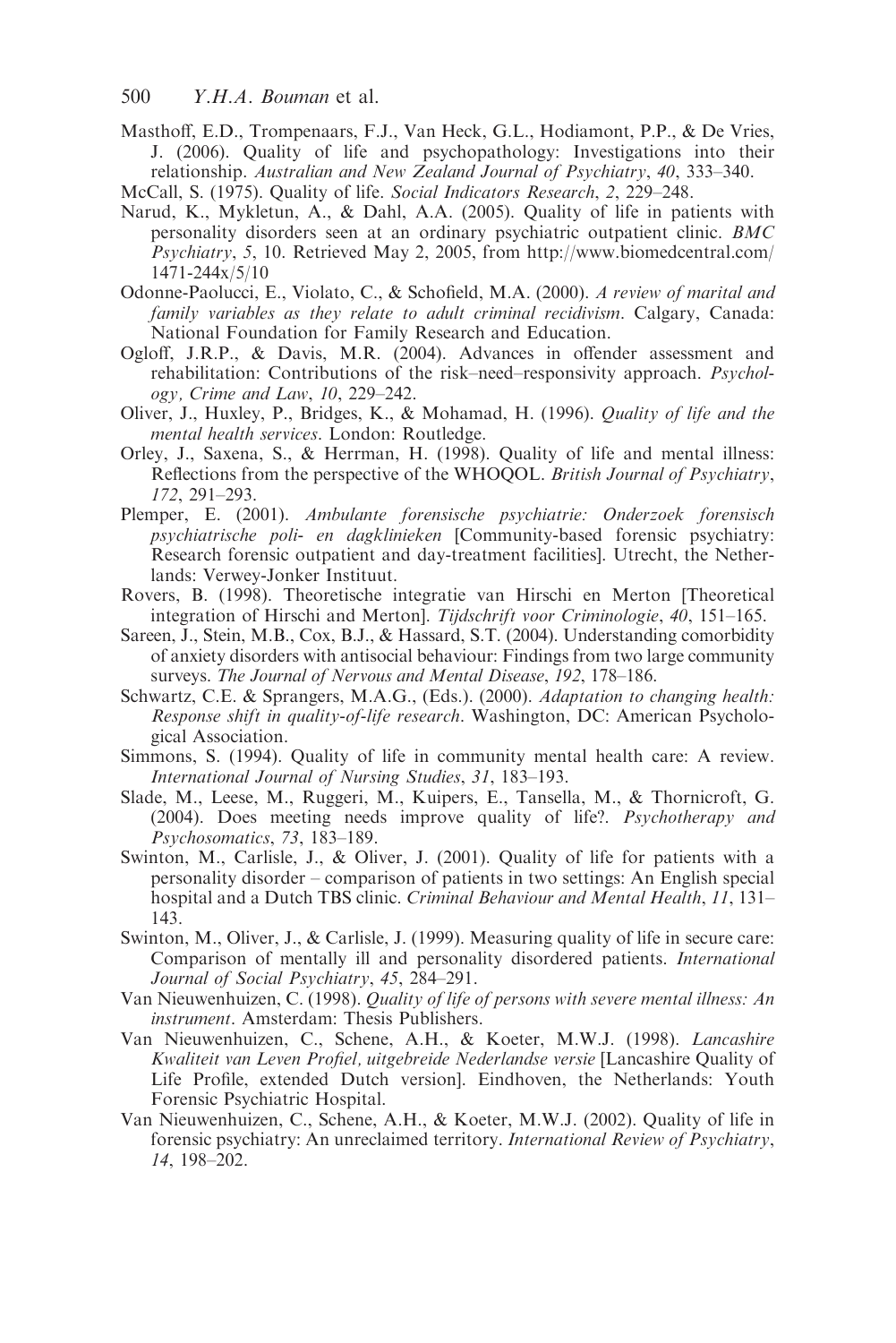- Masthoff, E.D., Trompenaars, F.J., Van Heck, G.L., Hodiamont, P.P., & De Vries, J. (2006). Quality of life and psychopathology: Investigations into their relationship. Australian and New Zealand Journal of Psychiatry, 40, 333–340.
- McCall, S. (1975). Quality of life. Social Indicators Research, 2, 229–248.
- Narud, K., Mykletun, A., & Dahl, A.A. (2005). Quality of life in patients with personality disorders seen at an ordinary psychiatric outpatient clinic. BMC Psychiatry, 5, 10. Retrieved May 2, 2005, from [http://www.biomedcentral.com/](http://www.biomedcentral.com/1471-244x/5/10) [1471-244x/5/10](http://www.biomedcentral.com/1471-244x/5/10)
- Odonne-Paolucci, E., Violato, C., & Schofield, M.A. (2000). A review of marital and family variables as they relate to adult criminal recidivism. Calgary, Canada: National Foundation for Family Research and Education.
- Ogloff, J.R.P., & Davis, M.R. (2004). Advances in offender assessment and rehabilitation: Contributions of the risk–need–responsivity approach. *Psychol*ogy, Crime and Law, 10, 229–242.
- Oliver, J., Huxley, P., Bridges, K., & Mohamad, H. (1996). Quality of life and the mental health services. London: Routledge.
- Orley, J., Saxena, S., & Herrman, H. (1998). Quality of life and mental illness: Reflections from the perspective of the WHOQOL. British Journal of Psychiatry, 172, 291–293.
- Plemper, E. (2001). Ambulante forensische psychiatrie: Onderzoek forensisch psychiatrische poli- en dagklinieken [Community-based forensic psychiatry: Research forensic outpatient and day-treatment facilities]. Utrecht, the Netherlands: Verwey-Jonker Instituut.
- Rovers, B. (1998). Theoretische integratie van Hirschi en Merton [Theoretical integration of Hirschi and Merton]. Tijdschrift voor Criminologie, 40, 151–165.
- Sareen, J., Stein, M.B., Cox, B.J., & Hassard, S.T. (2004). Understanding comorbidity of anxiety disorders with antisocial behaviour: Findings from two large community surveys. The Journal of Nervous and Mental Disease, 192, 178–186.
- Schwartz, C.E. & Sprangers, M.A.G., (Eds.). (2000). Adaptation to changing health: Response shift in quality-of-life research. Washington, DC: American Psychological Association.
- Simmons, S. (1994). Quality of life in community mental health care: A review. International Journal of Nursing Studies, 31, 183–193.
- Slade, M., Leese, M., Ruggeri, M., Kuipers, E., Tansella, M., & Thornicroft, G. (2004). Does meeting needs improve quality of life?. Psychotherapy and Psychosomatics, 73, 183–189.
- Swinton, M., Carlisle, J., & Oliver, J. (2001). Quality of life for patients with a personality disorder – comparison of patients in two settings: An English special hospital and a Dutch TBS clinic. Criminal Behaviour and Mental Health, 11, 131– 143.
- Swinton, M., Oliver, J., & Carlisle, J. (1999). Measuring quality of life in secure care: Comparison of mentally ill and personality disordered patients. International Journal of Social Psychiatry, 45, 284–291.
- Van Nieuwenhuizen, C. (1998). Quality of life of persons with severe mental illness: An instrument. Amsterdam: Thesis Publishers.
- Van Nieuwenhuizen, C., Schene, A.H., & Koeter, M.W.J. (1998). Lancashire Kwaliteit van Leven Profiel, uitgebreide Nederlandse versie [Lancashire Quality of Life Profile, extended Dutch version]. Eindhoven, the Netherlands: Youth Forensic Psychiatric Hospital.
- Van Nieuwenhuizen, C., Schene, A.H., & Koeter, M.W.J. (2002). Quality of life in forensic psychiatry: An unreclaimed territory. International Review of Psychiatry, 14, 198–202.